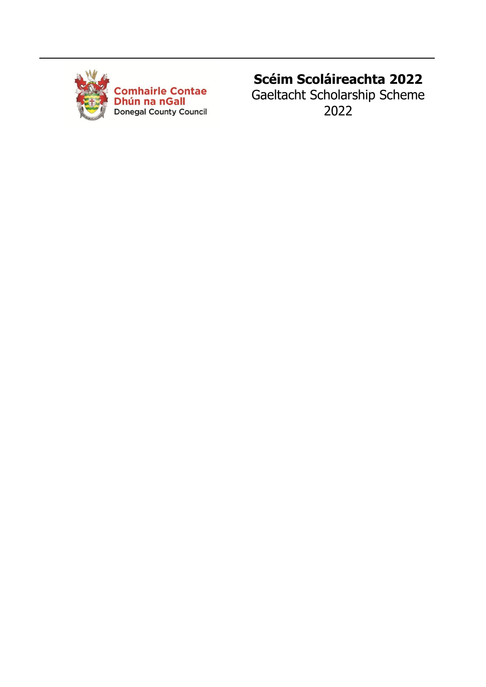

Comhairle Contae<br>Dhún na nGall Donegal County Council

# **Scéim Scoláireachta 2022**

Gaeltacht Scholarship Scheme 2022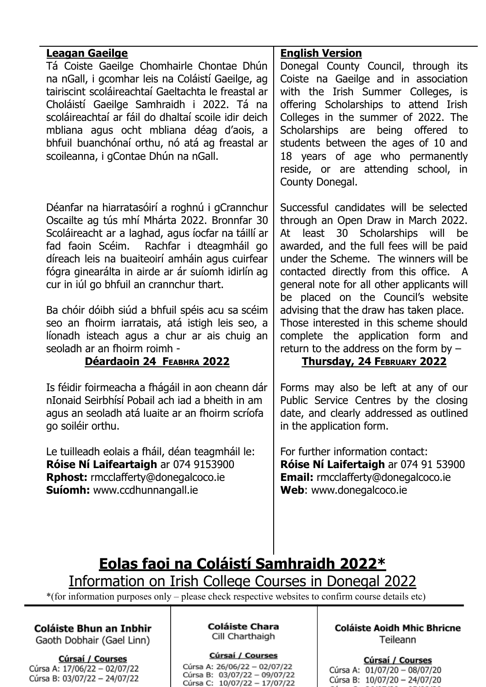| Leagan Gaeilge<br>Tá Coiste Gaeilge Chomhairle Chontae Dhún<br>na nGall, i gcomhar leis na Coláistí Gaeilge, ag<br>tairiscint scoláireachtaí Gaeltachta le freastal ar<br>Choláistí Gaeilge Samhraidh i 2022. Tá na<br>scoláireachtaí ar fáil do dhaltaí scoile idir deich<br>mbliana agus ocht mbliana déag d'aois, a<br>bhfuil buanchónaí orthu, nó atá ag freastal ar<br>scoileanna, i gContae Dhún na nGall.                                                                                                                                                       | <b>English Version</b><br>Donegal County Council, through its<br>Coiste na Gaeilge and in association<br>with the Irish Summer Colleges, is<br>offering Scholarships to attend Irish<br>Colleges in the summer of 2022. The<br>Scholarships are<br>being offered<br>to<br>students between the ages of 10 and<br>18 years of age who permanently<br>reside, or are attending school, in<br>County Donegal.                                                                                                                                        |
|------------------------------------------------------------------------------------------------------------------------------------------------------------------------------------------------------------------------------------------------------------------------------------------------------------------------------------------------------------------------------------------------------------------------------------------------------------------------------------------------------------------------------------------------------------------------|---------------------------------------------------------------------------------------------------------------------------------------------------------------------------------------------------------------------------------------------------------------------------------------------------------------------------------------------------------------------------------------------------------------------------------------------------------------------------------------------------------------------------------------------------|
| Déanfar na hiarratasóirí a roghnú i gCrannchur<br>Oscailte ag tús mhí Mhárta 2022. Bronnfar 30<br>Scoláireacht ar a laghad, agus íocfar na táillí ar<br>fad faoin Scéim. Rachfar i dteagmháil go<br>díreach leis na buaiteoirí amháin agus cuirfear<br>fógra ginearálta in airde ar ár suíomh idirlín ag<br>cur in iúl go bhfuil an crannchur thart.<br>Ba chóir dóibh siúd a bhfuil spéis acu sa scéim<br>seo an fhoirm iarratais, atá istigh leis seo, a<br>líonadh isteach agus a chur ar ais chuig an<br>seoladh ar an fhoirm roimh -<br>Déardaoin 24 FEABHRA 2022 | Successful candidates will be selected<br>through an Open Draw in March 2022.<br>least 30 Scholarships will be<br>At<br>awarded, and the full fees will be paid<br>under the Scheme. The winners will be<br>contacted directly from this office. A<br>general note for all other applicants will<br>be placed on the Council's website<br>advising that the draw has taken place.<br>Those interested in this scheme should<br>complete the application form and<br>return to the address on the form by $-$<br><b>Thursday, 24 FEBRUARY 2022</b> |
| Is féidir foirmeacha a fhágáil in aon cheann dár<br>nIonaid Seirbhísí Pobail ach iad a bheith in am<br>agus an seoladh atá luaite ar an fhoirm scríofa<br>go soiléir orthu.                                                                                                                                                                                                                                                                                                                                                                                            | Forms may also be left at any of our<br>Public Service Centres by the closing<br>date, and clearly addressed as outlined<br>in the application form.                                                                                                                                                                                                                                                                                                                                                                                              |
| Le tuilleadh eolais a fháil, déan teagmháil le:<br>Róise Ní Laifeartaigh ar 074 9153900<br><b>Rphost:</b> rmcclafferty@donegalcoco.ie<br>Suíomh: www.ccdhunnangall.ie                                                                                                                                                                                                                                                                                                                                                                                                  | For further information contact:<br>Róise Ní Laifertaigh ar 074 91 53900<br><b>Email:</b> rmcclafferty@donegalcoco.ie<br>Web: www.donegalcoco.ie                                                                                                                                                                                                                                                                                                                                                                                                  |
| Eolas faoi na Coláistí Samhraidh 2022*                                                                                                                                                                                                                                                                                                                                                                                                                                                                                                                                 |                                                                                                                                                                                                                                                                                                                                                                                                                                                                                                                                                   |

# Information on Irish College Courses in Donegal 2022

\*(for information purposes only – please check respective websites to confirm course details etc)

Coláiste Bhun an Inbhir

Gaoth Dobhair (Gael Linn)

# Cúrsaí / Courses

Cúrsa A: 17/06/22 - 02/07/22 Cúrsa B: 03/07/22 - 24/07/22 **Coláiste Chara** Cill Charthaigh

Cúrsaí / Courses

Cúrsa A: 26/06/22 - 02/07/22 Cúrsa B: 03/07/22 - 09/07/22 Cúrsa C: 10/07/22 - 17/07/22 **Coláiste Aoidh Mhic Bhricne** Teileann

Cúrsaí / Courses

Cúrsa A: 01/07/20 - 08/07/20 Cúrsa B: 10/07/20 - 24/07/20